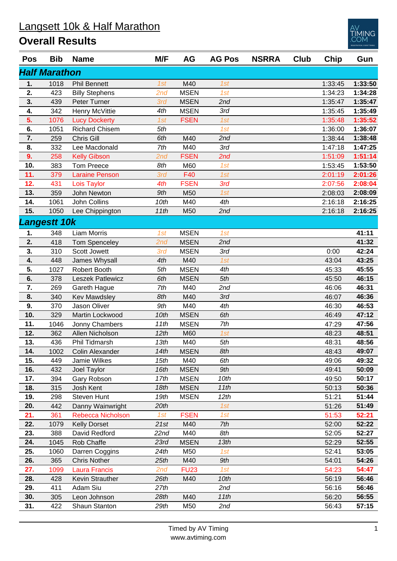## **Overall Results**

| <b>Pos</b> | Bib                  | <b>Name</b>           | M/F  | AG          | <b>AG Pos</b> | <b>NSRRA</b> | Club | Chip    | Gun     |
|------------|----------------------|-----------------------|------|-------------|---------------|--------------|------|---------|---------|
|            | <b>Half Marathon</b> |                       |      |             |               |              |      |         |         |
| 1.         | 1018                 | <b>Phil Bennett</b>   | 1st  | M40         | 1st           |              |      | 1:33:45 | 1:33:50 |
| 2.         | 423                  | <b>Billy Stephens</b> | 2nd  | <b>MSEN</b> | 1st           |              |      | 1:34:23 | 1:34:28 |
| 3.         | 439                  | Peter Turner          | 3rd  | <b>MSEN</b> | 2nd           |              |      | 1:35:47 | 1:35:47 |
| 4.         | 342                  | Henry McVittie        | 4th  | <b>MSEN</b> | 3rd           |              |      | 1:35:45 | 1:35:49 |
| 5.         | 1076                 | <b>Lucy Dockerty</b>  | 1st  | <b>FSEN</b> | 1st           |              |      | 1:35:48 | 1:35:52 |
| 6.         | 1051                 | <b>Richard Chisem</b> | 5th  |             | 1st           |              |      | 1:36:00 | 1:36:07 |
| 7.         | 259                  | Chris Gill            | 6th  | M40         | 2nd           |              |      | 1:38:44 | 1:38:48 |
| 8.         | 332                  | Lee Macdonald         | 7th  | M40         | 3rd           |              |      | 1:47:18 | 1:47:25 |
| 9.         | 258                  | <b>Kelly Gibson</b>   | 2nd  | <b>FSEN</b> | 2nd           |              |      | 1:51:09 | 1:51:14 |
| 10.        | 383                  | <b>Tom Preece</b>     | 8th  | M60         | 1st           |              |      | 1:53:45 | 1:53:50 |
| 11.        | 379                  | <b>Laraine Penson</b> | 3rd  | F40         | 1st           |              |      | 2:01:19 | 2:01:26 |
| 12.        | 431                  | Lois Taylor           | 4th  | <b>FSEN</b> | 3rd           |              |      | 2:07:56 | 2:08:04 |
| 13.        | 359                  | <b>John Newton</b>    | 9th  | M50         | 1st           |              |      | 2:08:03 | 2:08:09 |
| 14.        | 1061                 | John Collins          | 10th | M40         | 4th           |              |      | 2:16:18 | 2:16:25 |
| 15.        | 1050                 | Lee Chippington       | 11th | M50         | 2nd           |              |      | 2:16:18 | 2:16:25 |
|            | <b>Langestt 10k</b>  |                       |      |             |               |              |      |         |         |
| 1.         | 348                  | Liam Morris           | 1st  | <b>MSEN</b> | 1st           |              |      |         | 41:11   |
| 2.         | 418                  | <b>Tom Spenceley</b>  | 2nd  | <b>MSEN</b> | 2nd           |              |      |         | 41:32   |
| 3.         | 310                  | Scott Jowett          | 3rd  | <b>MSEN</b> | 3rd           |              |      | 0:00    | 42:24   |
| 4.         | 448                  | James Whysall         | 4th  | M40         | 1st           |              |      | 43:04   | 43:25   |
| 5.         | 1027                 | Robert Booth          | 5th  | <b>MSEN</b> | 4th           |              |      | 45:33   | 45:55   |
| 6.         | 378                  | Leszek Patlewicz      | 6th  | <b>MSEN</b> | 5th           |              |      | 45:50   | 46:15   |
| 7.         | 269                  | Gareth Hague          | 7th  | M40         | 2nd           |              |      | 46:06   | 46:31   |
| 8.         | 340                  | <b>Kev Mawdsley</b>   | 8th  | M40         | 3rd           |              |      | 46:07   | 46:36   |
| 9.         | 370                  | Jason Oliver          | 9th  | M40         | 4th           |              |      | 46:30   | 46:53   |
| 10.        | 329                  | Martin Lockwood       | 10th | <b>MSEN</b> | 6th           |              |      | 46:49   | 47:12   |
| 11.        | 1046                 | Jonny Chambers        | 11th | <b>MSEN</b> | 7th           |              |      | 47:29   | 47:56   |
| 12.        | 362                  | Allen Nicholson       | 12th | M60         | 1st           |              |      | 48:23   | 48:51   |
| 13.        | 436                  | Phil Tidmarsh         | 13th | M40         | 5th           |              |      | 48:31   | 48:56   |
| 14.        | 1002                 | Colin Alexander       | 14th | <b>MSEN</b> | 8th           |              |      | 48:43   | 49:07   |
| 15.        | 449                  | Jamie Wilkes          | 15th | M40         | 6th           |              |      | 49:06   | 49:32   |
| 16.        | 432                  | Joel Taylor           | 16th | <b>MSEN</b> | 9th           |              |      | 49:41   | 50:09   |
| 17.        | 394                  | Gary Robson           | 17th | <b>MSEN</b> | 10th          |              |      | 49:50   | 50:17   |
| 18.        | 315                  | Josh Kent             | 18th | <b>MSEN</b> | 11th          |              |      | 50:13   | 50:36   |
| 19.        | 298                  | Steven Hunt           | 19th | <b>MSEN</b> | 12th          |              |      | 51:21   | 51:44   |
| 20.        | 442                  | Danny Wainwright      | 20th |             | 1st           |              |      | 51:26   | 51:49   |
| 21.        | 361                  | Rebecca Nicholson     | 1st  | <b>FSEN</b> | 1st           |              |      | 51:53   | 52:21   |
| 22.        | 1079                 | <b>Kelly Dorset</b>   | 21st | M40         | 7th           |              |      | 52:00   | 52:22   |
| 23.        | 388                  | David Redford         | 22nd | M40         | 8th           |              |      | 52:05   | 52:27   |
| 24.        | 1045                 | Rob Chaffe            | 23rd | <b>MSEN</b> | 13th          |              |      | 52:29   | 52:55   |
| 25.        | 1060                 | Darren Coggins        | 24th | M50         | 1st           |              |      | 52:41   | 53:05   |
| 26.        | 365                  | <b>Chris Nother</b>   | 25th | M40         | 9th           |              |      | 54:01   | 54:26   |
| 27.        | 1099                 | <b>Laura Francis</b>  | 2nd  | <b>FU23</b> | 1st           |              |      | 54:23   | 54:47   |
| 28.        | 428                  | Kevin Strauther       | 26th | M40         | 10th          |              |      | 56:19   | 56:46   |
| 29.        | 411                  | Adam Siu              | 27th |             | 2nd           |              |      | 56:16   | 56:46   |
| 30.        | 305                  | Leon Johnson          | 28th | M40         | 11th          |              |      | 56:20   | 56:55   |
| 31.        | 422                  | Shaun Stanton         | 29th | M50         | 2nd           |              |      | 56:43   | 57:15   |

**AING**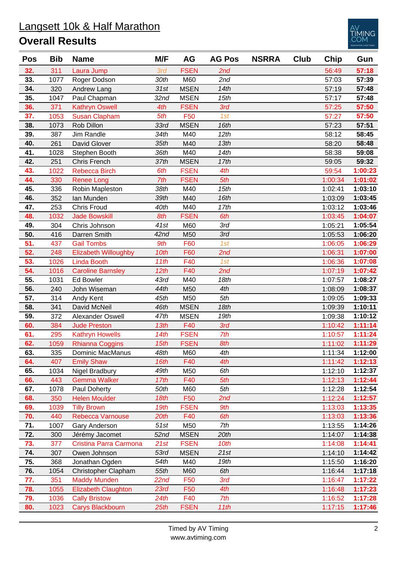## Langsett 10k & Half Marathon **Overall Results**



| <b>Pos</b> | <b>Bib</b> | <b>Name</b>                 | M/F              | AG          | <b>AG Pos</b> | <b>NSRRA</b> | <b>Club</b> | <b>Chip</b> | Gun     |
|------------|------------|-----------------------------|------------------|-------------|---------------|--------------|-------------|-------------|---------|
| 32.        | 311        | Laura Jump                  | 3rd              | <b>FSEN</b> | 2nd           |              |             | 56:49       | 57:18   |
| 33.        | 1077       | Roger Dodson                | 30th             | M60         | 2nd           |              |             | 57:03       | 57:39   |
| 34.        | 320        | Andrew Lang                 | 31st             | <b>MSEN</b> | 14th          |              |             | 57:19       | 57:48   |
| 35.        | 1047       | Paul Chapman                | 32 <sub>nd</sub> | <b>MSEN</b> | 15th          |              |             | 57:17       | 57:48   |
| 36.        | 371        | <b>Kathryn Oswell</b>       | 4th              | <b>FSEN</b> | 3rd           |              |             | 57:25       | 57:50   |
| 37.        | 1053       | <b>Susan Clapham</b>        | 5th              | F50         | 1st           |              |             | 57:27       | 57:50   |
| 38.        | 1073       | Rob Dillon                  | 33rd             | <b>MSEN</b> | 16th          |              |             | 57:23       | 57:51   |
| 39.        | 387        | Jim Randle                  | 34th             | M40         | 12th          |              |             | 58:12       | 58:45   |
| 40.        | 261        | David Glover                | 35th             | M40         | 13th          |              |             | 58:20       | 58:48   |
| 41.        | 1028       | Stephen Booth               | 36th             | M40         | 14th          |              |             | 58:38       | 59:08   |
| 42.        | 251        | Chris French                | 37th             | <b>MSEN</b> | 17th          |              |             | 59:05       | 59:32   |
| 43.        | 1022       | Rebecca Birch               | 6th              | <b>FSEN</b> | 4th           |              |             | 59:54       | 1:00:23 |
| 44.        | 330        | <b>Renee Long</b>           | 7th              | <b>FSEN</b> | 5th           |              |             | 1:00:34     | 1:01:02 |
| 45.        | 336        | Robin Mapleston             | 38th             | M40         | 15th          |              |             | 1:02:41     | 1:03:10 |
| 46.        | 352        | Ian Munden                  | 39th             | M40         | 16th          |              |             | 1:03:09     | 1:03:45 |
| 47.        | 253        | <b>Chris Froud</b>          | 40th             | M40         | 17th          |              |             | 1:03:12     | 1:03:46 |
| 48.        | 1032       | <b>Jade Bowskill</b>        | 8th              | <b>FSEN</b> | 6th           |              |             | 1:03:45     | 1:04:07 |
| 49.        | 304        | Chris Johnson               | 41st             | M60         | 3rd           |              |             | 1:05:21     | 1:05:54 |
| 50.        | 416        | Darren Smith                | 42 <sub>nd</sub> | M50         | 3rd           |              |             | 1:05:53     | 1:06:20 |
| 51.        | 437        | <b>Gail Tombs</b>           | 9th              | F60         | 1st           |              |             | 1:06:05     | 1:06:29 |
| 52.        | 248        | <b>Elizabeth Willoughby</b> | 10th             | F60         | 2nd           |              |             | 1:06:31     | 1:07:00 |
| 53.        | 1026       | <b>Linda Booth</b>          | 11th             | F40         | 1st           |              |             | 1:06:36     | 1:07:08 |
| 54.        | 1016       | <b>Caroline Barnsley</b>    | 12th             | F40         | 2nd           |              |             | 1:07:19     | 1:07:42 |
| 55.        | 1031       | <b>Ed Bowler</b>            | 43rd             | M40         | 18th          |              |             | 1:07:57     | 1:08:27 |
| 56.        | 240        | John Wiseman                | 44th             | M50         | 4th           |              |             | 1:08:09     | 1:08:37 |
| 57.        | 314        | Andy Kent                   | 45th             | M50         | 5th           |              |             | 1:09:05     | 1:09:33 |
| 58.        | 341        | David McNeil                | 46th             | <b>MSEN</b> | 18th          |              |             | 1:09:39     | 1:10:11 |
| 59.        | 372        | Alexander Oswell            | 47th             | <b>MSEN</b> | 19th          |              |             | 1:09:38     | 1:10:12 |
| 60.        | 384        | <b>Jude Preston</b>         | 13th             | F40         | 3rd           |              |             | 1:10:42     | 1:11:14 |
| 61.        | 295        | <b>Kathryn Howells</b>      | 14th             | <b>FSEN</b> | 7th           |              |             | 1:10:57     | 1:11:24 |
| 62.        | 1059       | <b>Rhianna Coggins</b>      | 15th             | <b>FSEN</b> | 8th           |              |             | 1:11:02     | 1:11:29 |
| 63.        | 335        | Dominic MacManus            | 48th             | M60         | 4th           |              |             | 1:11:34     | 1:12:00 |
| 64.        | 407        | <b>Emily Shaw</b>           | 16th             | F40         | 4th           |              |             | 1:11:42     | 1:12:13 |
| 65.        | 1034       | Nigel Bradbury              | 49th             | M50         | 6th           |              |             | 1:12:10     | 1:12:37 |
| 66.        | 443        | <b>Gemma Walker</b>         | 17th             | F40         | 5th           |              |             | 1:12:13     | 1:12:44 |
| 67.        | 1078       | Paul Doherty                | 50th             | M60         | 5th           |              |             | 1:12:28     | 1:12:54 |
| 68.        | 350        | <b>Helen Moulder</b>        | 18th             | F50         | 2nd           |              |             | 1:12:24     | 1:12:57 |
| 69.        | 1039       | <b>Tilly Brown</b>          | 19th             | <b>FSEN</b> | 9th           |              |             | 1:13:03     | 1:13:35 |
| 70.        | 440        | Rebecca Varnouse            | 20th             | F40         | 6th           |              |             | 1:13:03     | 1:13:36 |
| 71.        | 1007       | Gary Anderson               | 51st             | M50         | 7th           |              |             | 1:13:55     | 1:14:26 |
| 72.        | 300        | Jérémy Jacomet              | 52 <sub>nd</sub> | <b>MSEN</b> | 20th          |              |             | 1:14:07     | 1:14:38 |
| 73.        | 377        | Cristina Parra Carmona      | 21st             | <b>FSEN</b> | 10th          |              |             | 1:14:08     | 1:14:41 |
| 74.        | 307        | Owen Johnson                | 53rd             | <b>MSEN</b> | 21st          |              |             | 1:14:10     | 1:14:42 |
| 75.        | 368        | Jonathan Ogden              | 54th             | M40         | 19th          |              |             | 1:15:50     | 1:16:20 |
| 76.        | 1054       | Christopher Clapham         | 55th             | M60         | 6th           |              |             | 1:16:44     | 1:17:18 |
| 77.        | 351        | <b>Maddy Munden</b>         | 22nd             | F50         | 3rd           |              |             | 1:16:47     | 1:17:22 |
| 78.        | 1055       | <b>Elizabeth Claughton</b>  | 23rd             | F50         | 4th           |              |             | 1:16:48     | 1:17:23 |
| 79.        | 1036       | <b>Cally Bristow</b>        | 24th             | F40         | 7th           |              |             | 1:16:52     | 1:17:28 |
| 80.        | 1023       | <b>Carys Blackbourn</b>     | 25th             | <b>FSEN</b> | 11th          |              |             | 1:17:15     | 1:17:46 |